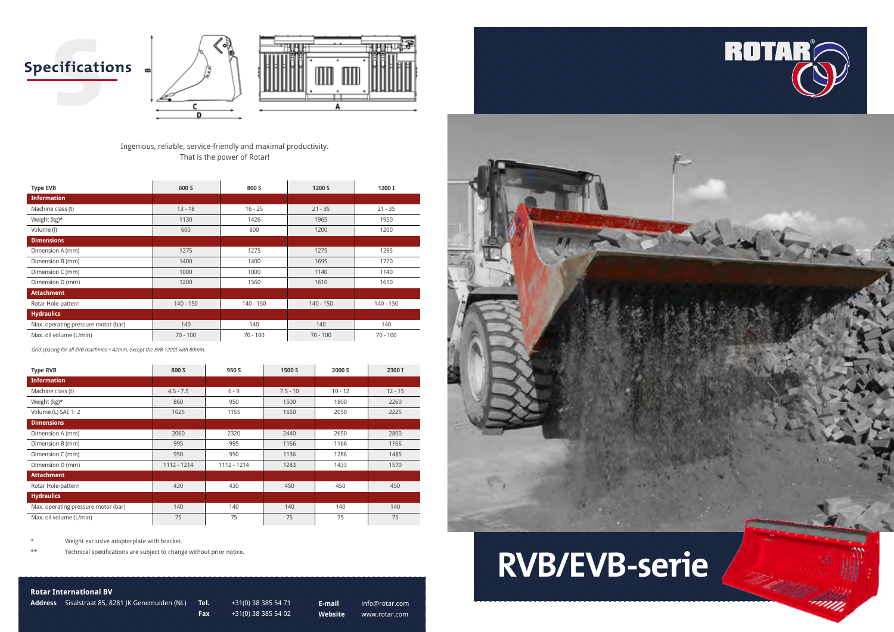



### **Rotar International BV**

**Address** Sisalstraat 85, 8281 JK Genemuiden (NL) **Tel.** +31(0) 38 385 54 71

**Cificati Specifications**





**Fax** +31(0) 38 385 54 02

**E-mail** info@rotar.com **Website** www.rotar.com



Ingenious, reliable, service-friendly and maximal productivity. That is the power of Rotar!

\*\* Technical specifications are subject to change without prior notice.

| <b>Type EVB</b>                     | 600 S       | 800 S       | 1200 S      | 1200 I      |
|-------------------------------------|-------------|-------------|-------------|-------------|
| <b>Information</b>                  |             |             |             |             |
| Machine class (t)                   | $13 - 18$   | $16 - 25$   | $21 - 35$   | $21 - 35$   |
| Weight $(kg)^*$                     | 1130        | 1426        | 1965        | 1950        |
| Volume (l)                          | 600         | 800         | 1200        | 1200        |
| <b>Dimensions</b>                   |             |             |             |             |
| Dimension A (mm)                    | 1275        | 1275        | 1275        | 1295        |
| Dimension B (mm)                    | 1400        | 1400        | 1695        | 1720        |
| Dimension C (mm)                    | 1000        | 1000        | 1140        | 1140        |
| Dimension D (mm)                    | 1200        | 1560        | 1610        | 1610        |
| <b>Attachment</b>                   |             |             |             |             |
| Rotar Hole-pattern                  | $140 - 150$ | $140 - 150$ | $140 - 150$ | $140 - 150$ |
| <b>Hydraulics</b>                   |             |             |             |             |
| Max. operating pressure motor (bar) | 140         | 140         | 140         | 140         |
| Max. oil volume (L/min)             | $70 - 100$  | $70 - 100$  | $70 - 100$  | $70 - 100$  |

Grid spacing for all EVB machines = 42mm, except the EVB 1200I with 80mm.

| <b>Type RVB</b>                     | 800 S       | 950 S       | 1500 S     | 2000 S    | 2300 I    |
|-------------------------------------|-------------|-------------|------------|-----------|-----------|
| <b>Information</b>                  |             |             |            |           |           |
| Machine class (t)                   | $4.5 - 7.5$ | $6 - 9$     | $7.5 - 10$ | $10 - 12$ | $12 - 15$ |
| Weight $(kg)^*$                     | 860         | 950         | 1500       | 1800      | 2260      |
| Volume (L) SAE 1: 2                 | 1025        | 1155        | 1650       | 2050      | 2225      |
| <b>Dimensions</b>                   |             |             |            |           |           |
| Dimension A (mm)                    | 2060        | 2320        | 2440       | 2650      | 2800      |
| Dimension B (mm)                    | 995         | 995         | 1166       | 1166      | 1166      |
| Dimension C (mm)                    | 950         | 950         | 1136       | 1286      | 1485      |
| Dimension D (mm)                    | 1112 - 1214 | 1112 - 1214 | 1283       | 1433      | 1570      |
| <b>Attachment</b>                   |             |             |            |           |           |
| Rotar Hole-pattern                  | 430         | 430         | 450        | 450       | 450       |
| <b>Hydraulics</b>                   |             |             |            |           |           |
| Max. operating pressure motor (bar) | 140         | 140         | 140        | 140       | 140       |
| Max. oil volume (L/min)             | 75          | 75          | 75         | 75        | 75        |

Weight exclusive adapterplate with bracket.